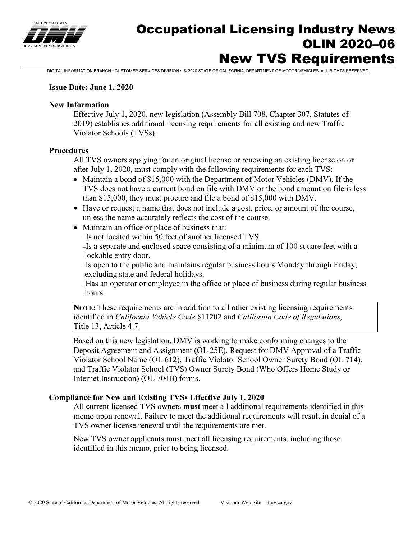

# Occupational Licensing Industry News OLIN 2020–06 New TVS Requirements

DIGITAL INFORMATION BRANCH • CUSTOMER SERVICES DIVISION • © 2020 STATE OF CALIFORNIA, DEPARTMENT OF MOTOR VEHICLES. ALL RIGHTS RESERVED.

#### **Issue Date: June 1, 2020**

#### **New Information**

Effective July 1, 2020, new legislation (Assembly Bill 708, Chapter 307, Statutes of 2019) establishes additional licensing requirements for all existing and new Traffic Violator Schools (TVSs).

#### **Procedures**

All TVS owners applying for an original license or renewing an existing license on or after July 1, 2020, must comply with the following requirements for each TVS:

- Maintain a bond of \$15,000 with the Department of Motor Vehicles (DMV). If the TVS does not have a current bond on file with DMV or the bond amount on file is less than \$15,000, they must procure and file a bond of \$15,000 with DMV.
- Have or request a name that does not include a cost, price, or amount of the course, unless the name accurately reflects the cost of the course.
- Maintain an office or place of business that:
	- –Is not located within 50 feet of another licensed TVS.

–Is a separate and enclosed space consisting of a minimum of 100 square feet with a lockable entry door.

–Is open to the public and maintains regular business hours Monday through Friday, excluding state and federal holidays.

–Has an operator or employee in the office or place of business during regular business hours.

**NOTE:** These requirements are in addition to all other existing licensing requirements identified in *California Vehicle Code* §11202 and *California Code of Regulations,* Title 13, Article 4.7.

Based on this new legislation, DMV is working to make conforming changes to the Deposit Agreement and Assignment (OL 25E), Request for DMV Approval of a Traffic Violator School Name (OL 612), Traffic Violator School Owner Surety Bond (OL 714), and Traffic Violator School (TVS) Owner Surety Bond (Who Offers Home Study or Internet Instruction) (OL 704B) forms.

#### **Compliance for New and Existing TVSs Effective July 1, 2020**

All current licensed TVS owners **must** meet all additional requirements identified in this memo upon renewal. Failure to meet the additional requirements will result in denial of a TVS owner license renewal until the requirements are met.

New TVS owner applicants must meet all licensing requirements, including those identified in this memo, prior to being licensed.